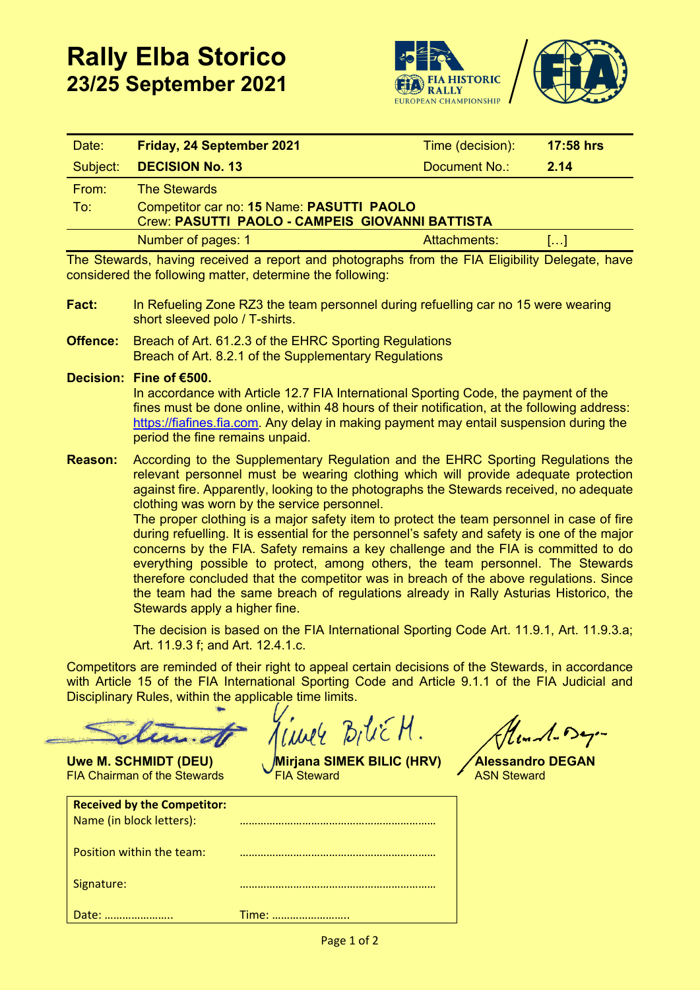



| Date:    | Friday, 24 September 2021                                                                    | Time (decision): | <b>17:58 hrs</b> |
|----------|----------------------------------------------------------------------------------------------|------------------|------------------|
| Subject: | <b>DECISION No. 13</b>                                                                       | Document No.:    | 2.14             |
| From:    | <b>The Stewards</b>                                                                          |                  |                  |
| To:      | Competitor car no: 15 Name: PASUTTI PAOLO<br>Crew: PASUTTI PAOLO - CAMPEIS GIOVANNI BATTISTA |                  |                  |
|          | Number of pages: 1                                                                           | Attachments:     |                  |

The Stewards, having received a report and photographs from the FIA Eligibility Delegate, have considered the following matter, determine the following:

- **Fact:** In Refueling Zone RZ3 the team personnel during refuelling car no 15 were wearing short sleeved polo / T-shirts.
- **Offence:** Breach of Art. 61.2.3 of the EHRC Sporting Regulations Breach of Art. 8.2.1 of the Supplementary Regulations

**Decision: Fine of €500.**

In accordance with Article 12.7 FIA International Sporting Code, the payment of the fines must be done online, within 48 hours of their notification, at the following address: [https://fiafines.fia.com.](https://fiafines.fia.com/) Any delay in making payment may entail suspension during the period the fine remains unpaid.

**Reason:** According to the Supplementary Regulation and the EHRC Sporting Regulations the relevant personnel must be wearing clothing which will provide adequate protection against fire. Apparently, looking to the photographs the Stewards received, no adequate clothing was worn by the service personnel.

> The proper clothing is a major safety item to protect the team personnel in case of fire during refuelling. It is essential for the personnel's safety and safety is one of the major concerns by the FIA. Safety remains a key challenge and the FIA is committed to do everything possible to protect, among others, the team personnel. The Stewards therefore concluded that the competitor was in breach of the above regulations. Since the team had the same breach of regulations already in Rally Asturias Historico, the Stewards apply a higher fine.

> The decision is based on the FIA International Sporting Code Art. 11.9.1, Art. 11.9.3.a; Art. 11.9.3 f; and Art. 12.4.1.c.

Competitors are reminded of their right to appeal certain decisions of the Stewards, in accordance with Article 15 of the FIA International Sporting Code and Article 9.1.1 of the FIA Judicial and Disciplinary Rules, within the applicable time limits.

 $B_1U\in H$ .

lund-Deg-

**Uwe M. SCHMIDT (DEU) Mirjana SIMEK BILIC (HRV) Alessandro DEGAN** FIA Steward **FIA Steward** 

| <b>Uwe M. SCHMIDT (DEU)</b>         |  |
|-------------------------------------|--|
| <b>FIA Chairman of the Stewards</b> |  |

| <b>Received by the Competitor:</b><br>Name (in block letters): |       |
|----------------------------------------------------------------|-------|
| Position within the team:                                      |       |
| Signature:                                                     |       |
| Date:                                                          | Time: |